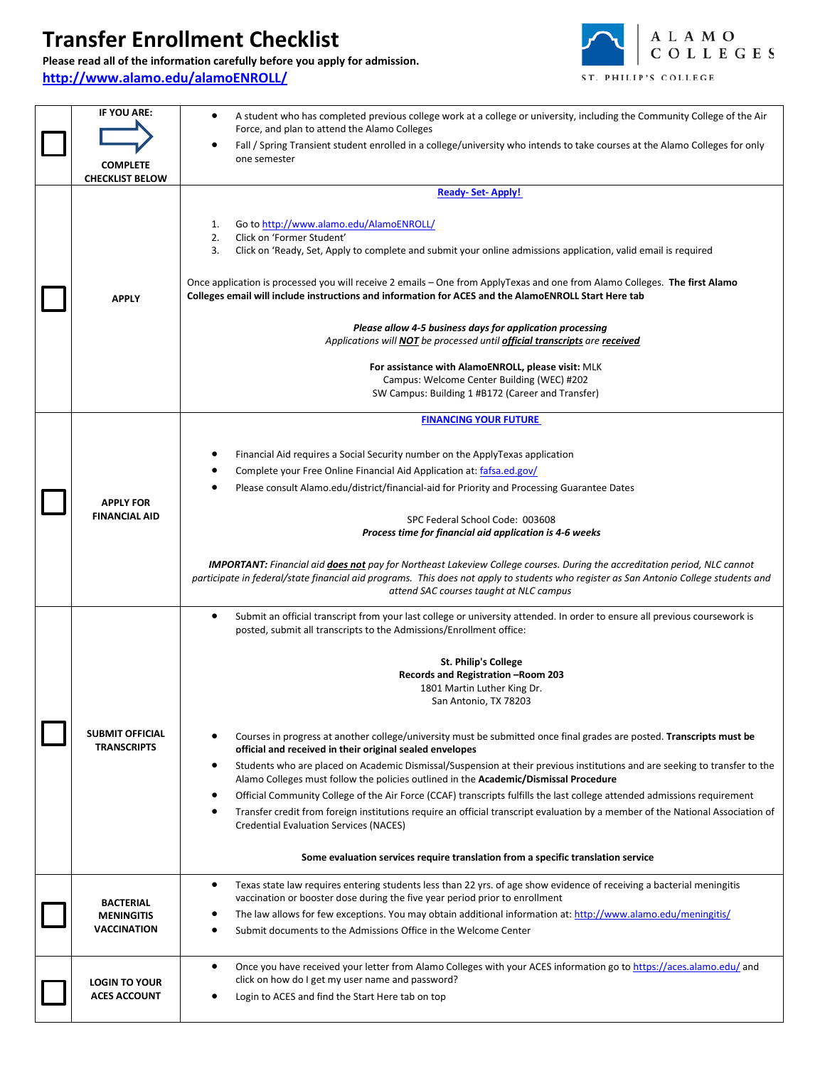## **Transfer Enrollment Checklist**

## **Please read all of the information carefully before you apply for admission.** <http://www.alamo.edu/alamoENROLL/>



| <b>IF YOU ARE:</b><br><b>COMPLETE</b><br><b>CHECKLIST BELOW</b> | A student who has completed previous college work at a college or university, including the Community College of the Air<br>٠<br>Force, and plan to attend the Alamo Colleges<br>Fall / Spring Transient student enrolled in a college/university who intends to take courses at the Alamo Colleges for only<br>one semester                                                                                                                                                                                                                                                                                                                                         |
|-----------------------------------------------------------------|----------------------------------------------------------------------------------------------------------------------------------------------------------------------------------------------------------------------------------------------------------------------------------------------------------------------------------------------------------------------------------------------------------------------------------------------------------------------------------------------------------------------------------------------------------------------------------------------------------------------------------------------------------------------|
|                                                                 | <b>Ready-Set-Apply!</b>                                                                                                                                                                                                                                                                                                                                                                                                                                                                                                                                                                                                                                              |
| <b>APPLY</b>                                                    | Go to http://www.alamo.edu/AlamoENROLL/<br>1.<br>2.<br>Click on 'Former Student'<br>3.<br>Click on 'Ready, Set, Apply to complete and submit your online admissions application, valid email is required<br>Once application is processed you will receive 2 emails - One from ApplyTexas and one from Alamo Colleges. The first Alamo<br>Colleges email will include instructions and information for ACES and the AlamoENROLL Start Here tab<br>Please allow 4-5 business days for application processing<br>Applications will <b>NOT</b> be processed until <b>official transcripts</b> are <b>received</b><br>For assistance with AlamoENROLL, please visit: MLK |
|                                                                 | Campus: Welcome Center Building (WEC) #202                                                                                                                                                                                                                                                                                                                                                                                                                                                                                                                                                                                                                           |
|                                                                 | SW Campus: Building 1 #B172 (Career and Transfer)                                                                                                                                                                                                                                                                                                                                                                                                                                                                                                                                                                                                                    |
|                                                                 | <b>FINANCING YOUR FUTURE</b>                                                                                                                                                                                                                                                                                                                                                                                                                                                                                                                                                                                                                                         |
| <b>APPLY FOR</b><br><b>FINANCIAL AID</b>                        | Financial Aid requires a Social Security number on the ApplyTexas application<br>Complete your Free Online Financial Aid Application at: fafsa.ed.gov/<br>Please consult Alamo.edu/district/financial-aid for Priority and Processing Guarantee Dates<br>SPC Federal School Code: 003608<br>Process time for financial aid application is 4-6 weeks<br><b>IMPORTANT:</b> Financial aid <i>does not</i> pay for Northeast Lakeview College courses. During the accreditation period, NLC cannot                                                                                                                                                                       |
|                                                                 | participate in federal/state financial aid programs. This does not apply to students who register as San Antonio College students and<br>attend SAC courses taught at NLC campus                                                                                                                                                                                                                                                                                                                                                                                                                                                                                     |
|                                                                 | Submit an official transcript from your last college or university attended. In order to ensure all previous coursework is<br>٠<br>posted, submit all transcripts to the Admissions/Enrollment office:<br><b>St. Philip's College</b><br>Records and Registration -Room 203<br>1801 Martin Luther King Dr.<br>San Antonio, TX 78203                                                                                                                                                                                                                                                                                                                                  |
| <b>SUBMIT OFFICIAL</b><br><b>TRANSCRIPTS</b>                    | Courses in progress at another college/university must be submitted once final grades are posted. Transcripts must be<br>official and received in their original sealed envelopes<br>Students who are placed on Academic Dismissal/Suspension at their previous institutions and are seeking to transfer to the                                                                                                                                                                                                                                                                                                                                                      |
|                                                                 | Alamo Colleges must follow the policies outlined in the Academic/Dismissal Procedure<br>Official Community College of the Air Force (CCAF) transcripts fulfills the last college attended admissions requirement<br>Transfer credit from foreign institutions require an official transcript evaluation by a member of the National Association of<br><b>Credential Evaluation Services (NACES)</b>                                                                                                                                                                                                                                                                  |
|                                                                 | Some evaluation services require translation from a specific translation service                                                                                                                                                                                                                                                                                                                                                                                                                                                                                                                                                                                     |
| <b>BACTERIAL</b><br><b>MENINGITIS</b><br><b>VACCINATION</b>     | Texas state law requires entering students less than 22 yrs. of age show evidence of receiving a bacterial meningitis<br>$\bullet$<br>vaccination or booster dose during the five year period prior to enrollment<br>The law allows for few exceptions. You may obtain additional information at: http://www.alamo.edu/meningitis/<br>Submit documents to the Admissions Office in the Welcome Center                                                                                                                                                                                                                                                                |
| <b>LOGIN TO YOUR</b><br><b>ACES ACCOUNT</b>                     | Once you have received your letter from Alamo Colleges with your ACES information go to https://aces.alamo.edu/ and<br>$\bullet$<br>click on how do I get my user name and password?<br>Login to ACES and find the Start Here tab on top                                                                                                                                                                                                                                                                                                                                                                                                                             |